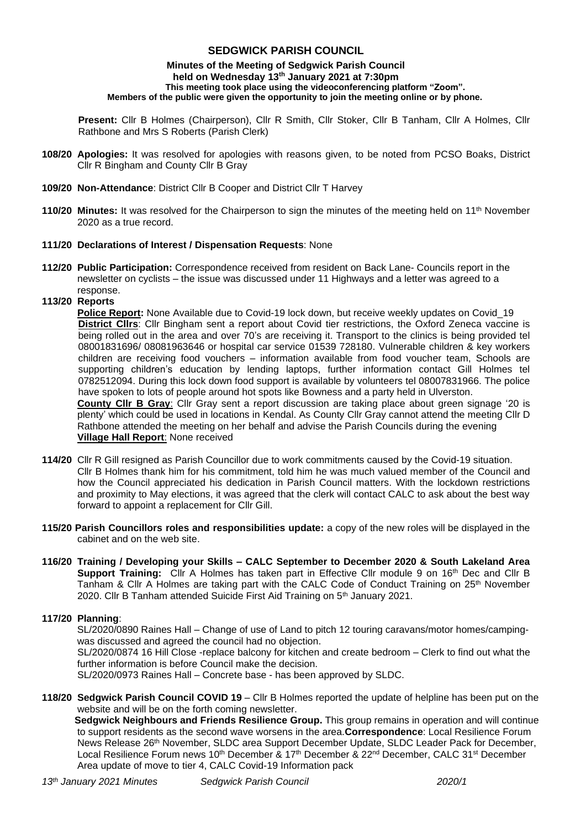# **SEDGWICK PARISH COUNCIL**

#### **Minutes of the Meeting of Sedgwick Parish Council held on Wednesday 13 th January 2021 at 7:30pm This meeting took place using the videoconferencing platform "Zoom". Members of the public were given the opportunity to join the meeting online or by phone.**

**Present:** Cllr B Holmes (Chairperson), Cllr R Smith, Cllr Stoker, Cllr B Tanham, Cllr A Holmes, Cllr Rathbone and Mrs S Roberts (Parish Clerk)

- **108/20 Apologies:** It was resolved for apologies with reasons given, to be noted from PCSO Boaks, District Cllr R Bingham and County Cllr B Gray
- **109/20 Non-Attendance**: District Cllr B Cooper and District Cllr T Harvey
- **110/20 Minutes:** It was resolved for the Chairperson to sign the minutes of the meeting held on 11<sup>th</sup> November 2020 as a true record.

### **111/20 Declarations of Interest / Dispensation Requests**: None

**112/20 Public Participation:** Correspondence received from resident on Back Lane- Councils report in the newsletter on cyclists – the issue was discussed under 11 Highways and a letter was agreed to a response.

#### **113/20 Reports**

**Police Report:** None Available due to Covid-19 lock down, but receive weekly updates on Covid\_19 **District Cllrs**: Cllr Bingham sent a report about Covid tier restrictions, the Oxford Zeneca vaccine is being rolled out in the area and over 70's are receiving it. Transport to the clinics is being provided tel 08001831696/ 08081963646 or hospital car service 01539 728180. Vulnerable children & key workers children are receiving food vouchers – information available from food voucher team, Schools are supporting children's education by lending laptops, further information contact Gill Holmes tel 0782512094. During this lock down food support is available by volunteers tel 08007831966. The police have spoken to lots of people around hot spots like Bowness and a party held in Ulverston.

**County Cllr B Gray**: Cllr Gray sent a report discussion are taking place about green signage '20 is plenty' which could be used in locations in Kendal. As County Cllr Gray cannot attend the meeting Cllr D Rathbone attended the meeting on her behalf and advise the Parish Councils during the evening **Village Hall Report**: None received

- **114/20** Cllr R Gill resigned as Parish Councillor due to work commitments caused by the Covid-19 situation. Cllr B Holmes thank him for his commitment, told him he was much valued member of the Council and how the Council appreciated his dedication in Parish Council matters. With the lockdown restrictions and proximity to May elections, it was agreed that the clerk will contact CALC to ask about the best way forward to appoint a replacement for Cllr Gill.
- **115/20 Parish Councillors roles and responsibilities update:** a copy of the new roles will be displayed in the cabinet and on the web site.
- **116/20 Training / Developing your Skills – CALC September to December 2020 & South Lakeland Area Support Training:** Cllr A Holmes has taken part in Effective Cllr module 9 on 16<sup>th</sup> Dec and Cllr B Tanham & Cllr A Holmes are taking part with the CALC Code of Conduct Training on 25<sup>th</sup> November 2020. Cllr B Tanham attended Suicide First Aid Training on 5<sup>th</sup> January 2021.

### **117/20 Planning**:

SL/2020/0890 Raines Hall – Change of use of Land to pitch 12 touring caravans/motor homes/campingwas discussed and agreed the council had no objection.

SL/2020/0874 16 Hill Close -replace balcony for kitchen and create bedroom – Clerk to find out what the further information is before Council make the decision.

SL/2020/0973 Raines Hall – Concrete base - has been approved by SLDC.

**118/20 Sedgwick Parish Council COVID 19** – Cllr B Holmes reported the update of helpline has been put on the website and will be on the forth coming newsletter.

 **Sedgwick Neighbours and Friends Resilience Group.** This group remains in operation and will continue to support residents as the second wave worsens in the area.**Correspondence**: Local Resilience Forum News Release 26th November, SLDC area Support December Update, SLDC Leader Pack for December, Local Resilience Forum news 10<sup>th</sup> December & 17<sup>th</sup> December & 22<sup>nd</sup> December, CALC 31<sup>st</sup> December Area update of move to tier 4, CALC Covid-19 Information pack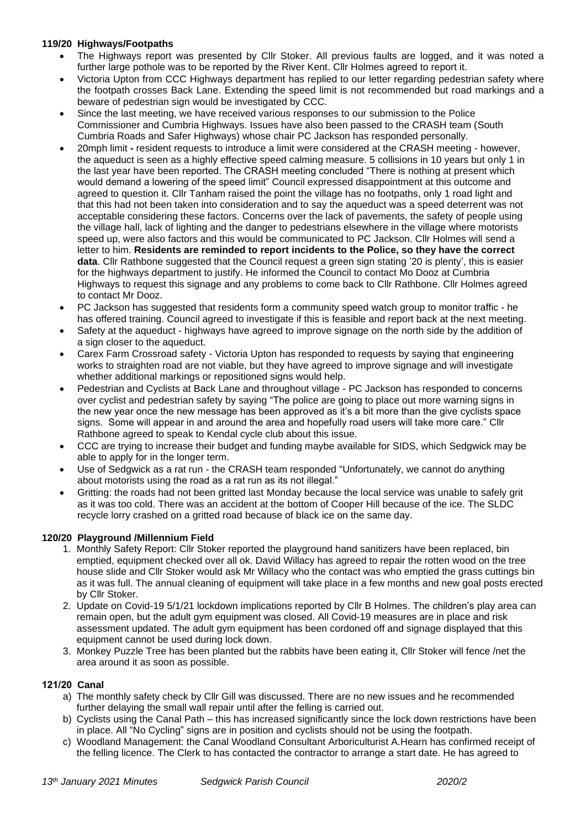# **119/20 Highways/Footpaths**

- The Highways report was presented by Cllr Stoker. All previous faults are logged, and it was noted a further large pothole was to be reported by the River Kent. Cllr Holmes agreed to report it.
- Victoria Upton from CCC Highways department has replied to our letter regarding pedestrian safety where the footpath crosses Back Lane. Extending the speed limit is not recommended but road markings and a beware of pedestrian sign would be investigated by CCC.
- Since the last meeting, we have received various responses to our submission to the Police Commissioner and Cumbria Highways. Issues have also been passed to the CRASH team (South Cumbria Roads and Safer Highways) whose chair PC Jackson has responded personally.
- 20mph limit **-** resident requests to introduce a limit were considered at the CRASH meeting however, the aqueduct is seen as a highly effective speed calming measure. 5 collisions in 10 years but only 1 in the last year have been reported. The CRASH meeting concluded "There is nothing at present which would demand a lowering of the speed limit" Council expressed disappointment at this outcome and agreed to question it. Cllr Tanham raised the point the village has no footpaths, only 1 road light and that this had not been taken into consideration and to say the aqueduct was a speed deterrent was not acceptable considering these factors. Concerns over the lack of pavements, the safety of people using the village hall, lack of lighting and the danger to pedestrians elsewhere in the village where motorists speed up, were also factors and this would be communicated to PC Jackson. Cllr Holmes will send a letter to him. **Residents are reminded to report incidents to the Police, so they have the correct data**. Cllr Rathbone suggested that the Council request a green sign stating '20 is plenty', this is easier for the highways department to justify. He informed the Council to contact Mo Dooz at Cumbria Highways to request this signage and any problems to come back to Cllr Rathbone. Cllr Holmes agreed to contact Mr Dooz.
- PC Jackson has suggested that residents form a community speed watch group to monitor traffic he has offered training. Council agreed to investigate if this is feasible and report back at the next meeting.
- Safety at the aqueduct highways have agreed to improve signage on the north side by the addition of a sign closer to the aqueduct.
- Carex Farm Crossroad safety Victoria Upton has responded to requests by saying that engineering works to straighten road are not viable, but they have agreed to improve signage and will investigate whether additional markings or repositioned signs would help.
- Pedestrian and Cyclists at Back Lane and throughout village PC Jackson has responded to concerns over cyclist and pedestrian safety by saying "The police are going to place out more warning signs in the new year once the new message has been approved as it's a bit more than the give cyclists space signs. Some will appear in and around the area and hopefully road users will take more care." Cllr Rathbone agreed to speak to Kendal cycle club about this issue.
- CCC are trying to increase their budget and funding maybe available for SIDS, which Sedgwick may be able to apply for in the longer term.
- Use of Sedgwick as a rat run the CRASH team responded "Unfortunately, we cannot do anything about motorists using the road as a rat run as its not illegal."
- Gritting: the roads had not been gritted last Monday because the local service was unable to safely grit as it was too cold. There was an accident at the bottom of Cooper Hill because of the ice. The SLDC recycle lorry crashed on a gritted road because of black ice on the same day.

# **120/20 Playground /Millennium Field**

- 1. Monthly Safety Report: Cllr Stoker reported the playground hand sanitizers have been replaced, bin emptied, equipment checked over all ok. David Willacy has agreed to repair the rotten wood on the tree house slide and Cllr Stoker would ask Mr Willacy who the contact was who emptied the grass cuttings bin as it was full. The annual cleaning of equipment will take place in a few months and new goal posts erected by Cllr Stoker.
- 2. Update on Covid-19 5/1/21 lockdown implications reported by Cllr B Holmes. The children's play area can remain open, but the adult gym equipment was closed. All Covid-19 measures are in place and risk assessment updated. The adult gym equipment has been cordoned off and signage displayed that this equipment cannot be used during lock down.
- 3. Monkey Puzzle Tree has been planted but the rabbits have been eating it, Cllr Stoker will fence /net the area around it as soon as possible.

# **121/20 Canal**

- a) The monthly safety check by Cllr Gill was discussed. There are no new issues and he recommended further delaying the small wall repair until after the felling is carried out.
- b) Cyclists using the Canal Path this has increased significantly since the lock down restrictions have been in place. All "No Cycling" signs are in position and cyclists should not be using the footpath.
- c) Woodland Management: the Canal Woodland Consultant Arboriculturist A.Hearn has confirmed receipt of the felling licence. The Clerk to has contacted the contractor to arrange a start date. He has agreed to